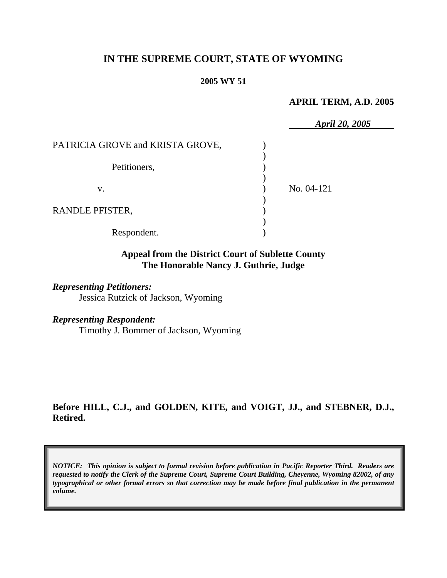# **IN THE SUPREME COURT, STATE OF WYOMING**

#### **2005 WY 51**

#### **APRIL TERM, A.D. 2005**

|                                  | April 20, 2005 |
|----------------------------------|----------------|
| PATRICIA GROVE and KRISTA GROVE, |                |
| Petitioners,                     |                |
| V.                               | No. 04-121     |
| RANDLE PFISTER,                  |                |
| Respondent.                      |                |

## **Appeal from the District Court of Sublette County The Honorable Nancy J. Guthrie, Judge**

#### *Representing Petitioners:*

Jessica Rutzick of Jackson, Wyoming

## *Representing Respondent:*

Timothy J. Bommer of Jackson, Wyoming

**Before HILL, C.J., and GOLDEN, KITE, and VOIGT, JJ., and STEBNER, D.J., Retired.** 

*NOTICE: This opinion is subject to formal revision before publication in Pacific Reporter Third. Readers are requested to notify the Clerk of the Supreme Court, Supreme Court Building, Cheyenne, Wyoming 82002, of any typographical or other formal errors so that correction may be made before final publication in the permanent volume.*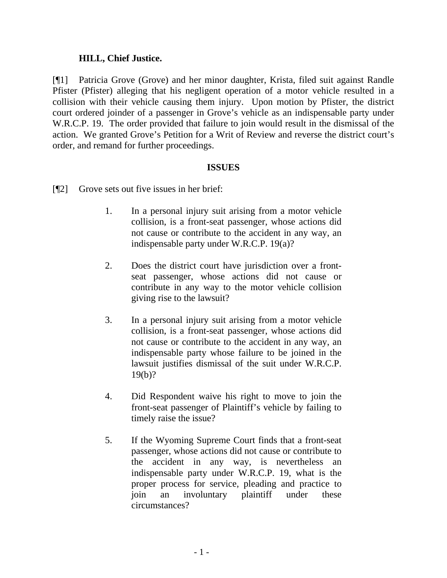## **HILL, Chief Justice.**

[¶1] Patricia Grove (Grove) and her minor daughter, Krista, filed suit against Randle Pfister (Pfister) alleging that his negligent operation of a motor vehicle resulted in a collision with their vehicle causing them injury. Upon motion by Pfister, the district court ordered joinder of a passenger in Grove's vehicle as an indispensable party under W.R.C.P. 19. The order provided that failure to join would result in the dismissal of the action. We granted Grove's Petition for a Writ of Review and reverse the district court's order, and remand for further proceedings.

## **ISSUES**

- [¶2] Grove sets out five issues in her brief:
	- 1. In a personal injury suit arising from a motor vehicle collision, is a front-seat passenger, whose actions did not cause or contribute to the accident in any way, an indispensable party under W.R.C.P. 19(a)?
	- 2. Does the district court have jurisdiction over a frontseat passenger, whose actions did not cause or contribute in any way to the motor vehicle collision giving rise to the lawsuit?
	- 3. In a personal injury suit arising from a motor vehicle collision, is a front-seat passenger, whose actions did not cause or contribute to the accident in any way, an indispensable party whose failure to be joined in the lawsuit justifies dismissal of the suit under W.R.C.P. 19(b)?
	- 4. Did Respondent waive his right to move to join the front-seat passenger of Plaintiff's vehicle by failing to timely raise the issue?
	- 5. If the Wyoming Supreme Court finds that a front-seat passenger, whose actions did not cause or contribute to the accident in any way, is nevertheless an indispensable party under W.R.C.P. 19, what is the proper process for service, pleading and practice to join an involuntary plaintiff under these circumstances?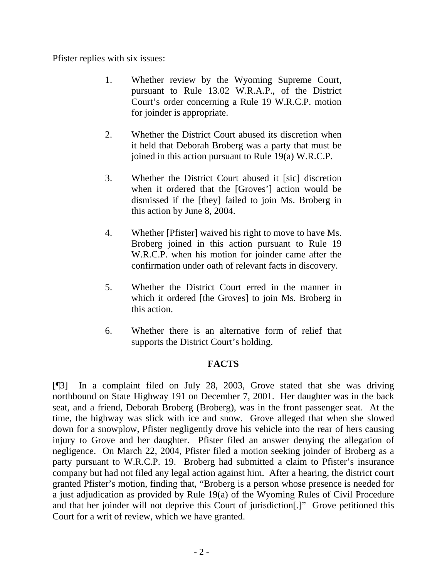Pfister replies with six issues:

- 1. Whether review by the Wyoming Supreme Court, pursuant to Rule 13.02 W.R.A.P., of the District Court's order concerning a Rule 19 W.R.C.P. motion for joinder is appropriate.
- 2. Whether the District Court abused its discretion when it held that Deborah Broberg was a party that must be joined in this action pursuant to Rule 19(a) W.R.C.P.
- 3. Whether the District Court abused it [sic] discretion when it ordered that the [Groves'] action would be dismissed if the [they] failed to join Ms. Broberg in this action by June 8, 2004.
- 4. Whether [Pfister] waived his right to move to have Ms. Broberg joined in this action pursuant to Rule 19 W.R.C.P. when his motion for joinder came after the confirmation under oath of relevant facts in discovery.
- 5. Whether the District Court erred in the manner in which it ordered [the Groves] to join Ms. Broberg in this action.
- 6. Whether there is an alternative form of relief that supports the District Court's holding.

# **FACTS**

[¶3] In a complaint filed on July 28, 2003, Grove stated that she was driving northbound on State Highway 191 on December 7, 2001. Her daughter was in the back seat, and a friend, Deborah Broberg (Broberg), was in the front passenger seat. At the time, the highway was slick with ice and snow. Grove alleged that when she slowed down for a snowplow, Pfister negligently drove his vehicle into the rear of hers causing injury to Grove and her daughter. Pfister filed an answer denying the allegation of negligence. On March 22, 2004, Pfister filed a motion seeking joinder of Broberg as a party pursuant to W.R.C.P. 19. Broberg had submitted a claim to Pfister's insurance company but had not filed any legal action against him. After a hearing, the district court granted Pfister's motion, finding that, "Broberg is a person whose presence is needed for a just adjudication as provided by Rule 19(a) of the Wyoming Rules of Civil Procedure and that her joinder will not deprive this Court of jurisdiction[.]" Grove petitioned this Court for a writ of review, which we have granted.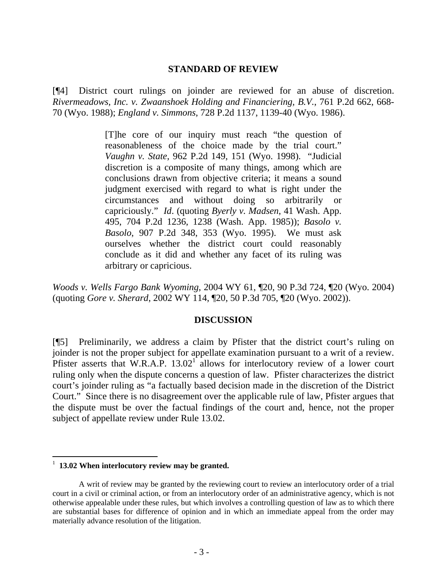#### **STANDARD OF REVIEW**

[¶4] District court rulings on joinder are reviewed for an abuse of discretion. *Rivermeadows, Inc. v. Zwaanshoek Holding and Financiering, B.V.*, 761 P.2d 662, 668- 70 (Wyo. 1988); *England v. Simmons*, 728 P.2d 1137, 1139-40 (Wyo. 1986).

> [T]he core of our inquiry must reach "the question of reasonableness of the choice made by the trial court." *Vaughn v. State*, 962 P.2d 149, 151 (Wyo. 1998). "Judicial discretion is a composite of many things, among which are conclusions drawn from objective criteria; it means a sound judgment exercised with regard to what is right under the circumstances and without doing so arbitrarily or capriciously." *Id*. (quoting *Byerly v. Madsen*, 41 Wash. App. 495, 704 P.2d 1236, 1238 (Wash. App. 1985)); *Basolo v. Basolo*, 907 P.2d 348, 353 (Wyo. 1995). We must ask ourselves whether the district court could reasonably conclude as it did and whether any facet of its ruling was arbitrary or capricious.

*Woods v. Wells Fargo Bank Wyoming*, 2004 WY 61, ¶20, 90 P.3d 724, ¶20 (Wyo. 2004) (quoting *Gore v. Sherard*, 2002 WY 114, ¶20, 50 P.3d 705, ¶20 (Wyo. 2002)).

## **DISCUSSION**

[¶5] Preliminarily, we address a claim by Pfister that the district court's ruling on joinder is not the proper subject for appellate examination pursuant to a writ of a review. Pfisterasserts that W.R.A.P.  $13.02<sup>1</sup>$  allows for interlocutory review of a lower court ruling only when the dispute concerns a question of law. Pfister characterizes the district court's joinder ruling as "a factually based decision made in the discretion of the District Court." Since there is no disagreement over the applicable rule of law, Pfister argues that the dispute must be over the factual findings of the court and, hence, not the proper subject of appellate review under Rule 13.02.

<span id="page-4-0"></span><sup>&</sup>lt;sup>1</sup> 13.02 When interlocutory review may be granted.

A writ of review may be granted by the reviewing court to review an interlocutory order of a trial court in a civil or criminal action, or from an interlocutory order of an administrative agency, which is not otherwise appealable under these rules, but which involves a controlling question of law as to which there are substantial bases for difference of opinion and in which an immediate appeal from the order may materially advance resolution of the litigation.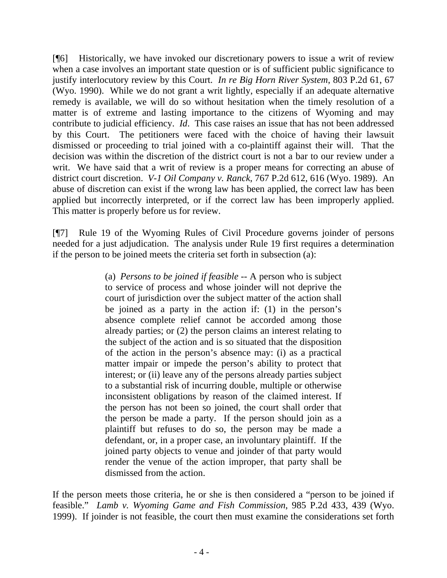[¶6] Historically, we have invoked our discretionary powers to issue a writ of review when a case involves an important state question or is of sufficient public significance to justify interlocutory review by this Court. *In re Big Horn River System*, 803 P.2d 61, 67 (Wyo. 1990). While we do not grant a writ lightly, especially if an adequate alternative remedy is available, we will do so without hesitation when the timely resolution of a matter is of extreme and lasting importance to the citizens of Wyoming and may contribute to judicial efficiency. *Id*. This case raises an issue that has not been addressed by this Court. The petitioners were faced with the choice of having their lawsuit dismissed or proceeding to trial joined with a co-plaintiff against their will. That the decision was within the discretion of the district court is not a bar to our review under a writ. We have said that a writ of review is a proper means for correcting an abuse of district court discretion. *V-1 Oil Company v. Ranck*, 767 P.2d 612, 616 (Wyo. 1989). An abuse of discretion can exist if the wrong law has been applied, the correct law has been applied but incorrectly interpreted, or if the correct law has been improperly applied. This matter is properly before us for review.

[¶7] Rule 19 of the Wyoming Rules of Civil Procedure governs joinder of persons needed for a just adjudication. The analysis under Rule 19 first requires a determination if the person to be joined meets the criteria set forth in subsection (a):

> (a) *Persons to be joined if feasible* -- A person who is subject to service of process and whose joinder will not deprive the court of jurisdiction over the subject matter of the action shall be joined as a party in the action if: (1) in the person's absence complete relief cannot be accorded among those already parties; or (2) the person claims an interest relating to the subject of the action and is so situated that the disposition of the action in the person's absence may: (i) as a practical matter impair or impede the person's ability to protect that interest; or (ii) leave any of the persons already parties subject to a substantial risk of incurring double, multiple or otherwise inconsistent obligations by reason of the claimed interest. If the person has not been so joined, the court shall order that the person be made a party. If the person should join as a plaintiff but refuses to do so, the person may be made a defendant, or, in a proper case, an involuntary plaintiff. If the joined party objects to venue and joinder of that party would render the venue of the action improper, that party shall be dismissed from the action.

If the person meets those criteria, he or she is then considered a "person to be joined if feasible." *Lamb v. Wyoming Game and Fish Commission*, 985 P.2d 433, 439 (Wyo. 1999). If joinder is not feasible, the court then must examine the considerations set forth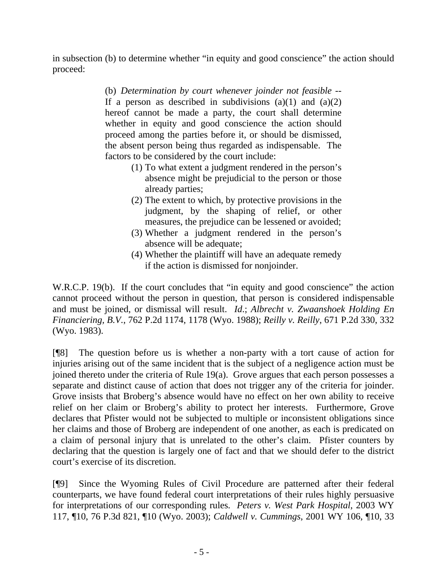in subsection (b) to determine whether "in equity and good conscience" the action should proceed:

> (b) *Determination by court whenever joinder not feasible* -- If a person as described in subdivisions (a)(1) and (a)(2) hereof cannot be made a party, the court shall determine whether in equity and good conscience the action should proceed among the parties before it, or should be dismissed, the absent person being thus regarded as indispensable. The factors to be considered by the court include:

- (1) To what extent a judgment rendered in the person's absence might be prejudicial to the person or those already parties;
- (2) The extent to which, by protective provisions in the judgment, by the shaping of relief, or other measures, the prejudice can be lessened or avoided;
- (3) Whether a judgment rendered in the person's absence will be adequate;
- (4) Whether the plaintiff will have an adequate remedy if the action is dismissed for nonjoinder.

W.R.C.P. 19(b). If the court concludes that "in equity and good conscience" the action cannot proceed without the person in question, that person is considered indispensable and must be joined, or dismissal will result. *Id*.; *Albrecht v. Zwaanshoek Holding En Financiering, B.V.*, 762 P.2d 1174, 1178 (Wyo. 1988); *Reilly v. Reilly*, 671 P.2d 330, 332 (Wyo. 1983).

[¶8] The question before us is whether a non-party with a tort cause of action for injuries arising out of the same incident that is the subject of a negligence action must be joined thereto under the criteria of Rule 19(a). Grove argues that each person possesses a separate and distinct cause of action that does not trigger any of the criteria for joinder. Grove insists that Broberg's absence would have no effect on her own ability to receive relief on her claim or Broberg's ability to protect her interests. Furthermore, Grove declares that Pfister would not be subjected to multiple or inconsistent obligations since her claims and those of Broberg are independent of one another, as each is predicated on a claim of personal injury that is unrelated to the other's claim. Pfister counters by declaring that the question is largely one of fact and that we should defer to the district court's exercise of its discretion.

[¶9] Since the Wyoming Rules of Civil Procedure are patterned after their federal counterparts, we have found federal court interpretations of their rules highly persuasive for interpretations of our corresponding rules. *Peters v. West Park Hospital*, 2003 WY 117, ¶10, 76 P.3d 821, ¶10 (Wyo. 2003); *Caldwell v. Cummings*, 2001 WY 106, ¶10, 33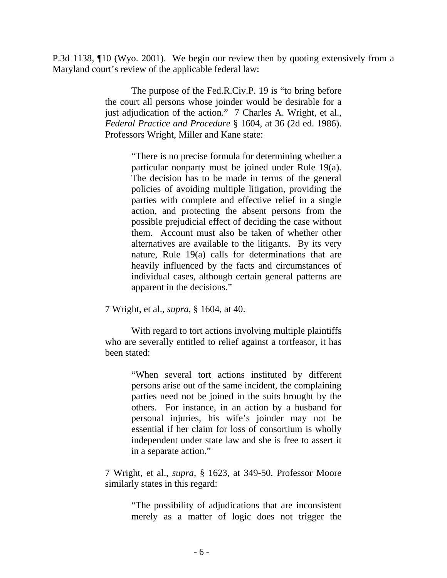P.3d 1138, ¶10 (Wyo. 2001). We begin our review then by quoting extensively from a Maryland court's review of the applicable federal law:

> The purpose of the Fed.R.Civ.P. 19 is "to bring before the court all persons whose joinder would be desirable for a just adjudication of the action." 7 Charles A. Wright, et al., *Federal Practice and Procedure* § 1604, at 36 (2d ed. 1986). Professors Wright, Miller and Kane state:

> > "There is no precise formula for determining whether a particular nonparty must be joined under Rule 19(a). The decision has to be made in terms of the general policies of avoiding multiple litigation, providing the parties with complete and effective relief in a single action, and protecting the absent persons from the possible prejudicial effect of deciding the case without them. Account must also be taken of whether other alternatives are available to the litigants. By its very nature, Rule 19(a) calls for determinations that are heavily influenced by the facts and circumstances of individual cases, although certain general patterns are apparent in the decisions."

7 Wright, et al., *supra*, § 1604, at 40.

With regard to tort actions involving multiple plaintiffs who are severally entitled to relief against a tortfeasor, it has been stated:

> "When several tort actions instituted by different persons arise out of the same incident, the complaining parties need not be joined in the suits brought by the others. For instance, in an action by a husband for personal injuries, his wife's joinder may not be essential if her claim for loss of consortium is wholly independent under state law and she is free to assert it in a separate action."

7 Wright, et al., *supra*, § 1623, at 349-50. Professor Moore similarly states in this regard:

> "The possibility of adjudications that are inconsistent merely as a matter of logic does not trigger the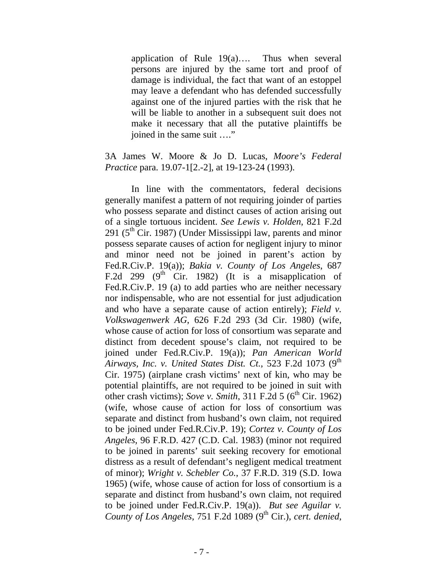application of Rule 19(a)…. Thus when several persons are injured by the same tort and proof of damage is individual, the fact that want of an estoppel may leave a defendant who has defended successfully against one of the injured parties with the risk that he will be liable to another in a subsequent suit does not make it necessary that all the putative plaintiffs be joined in the same suit …."

## 3A James W. Moore & Jo D. Lucas, *Moore's Federal Practice* para. 19.07-1[2.-2], at 19-123-24 (1993).

In line with the commentators, federal decisions generally manifest a pattern of not requiring joinder of parties who possess separate and distinct causes of action arising out of a single tortuous incident. *See Lewis v. Holden*, 821 F.2d 291 ( $5<sup>th</sup>$  Cir. 1987) (Under Mississippi law, parents and minor possess separate causes of action for negligent injury to minor and minor need not be joined in parent's action by Fed.R.Civ.P. 19(a)); *Bakia v. County of Los Angeles*, 687 F.2d 299 ( $9<sup>th</sup>$  Cir. 1982) (It is a misapplication of Fed.R.Civ.P. 19 (a) to add parties who are neither necessary nor indispensable, who are not essential for just adjudication and who have a separate cause of action entirely); *Field v. Volkswagenwerk AG*, 626 F.2d 293 (3d Cir. 1980) (wife, whose cause of action for loss of consortium was separate and distinct from decedent spouse's claim, not required to be joined under Fed.R.Civ.P. 19(a)); *Pan American World Airways, Inc. v. United States Dist. Ct.*, 523 F.2d 1073 (9<sup>th</sup>) Cir. 1975) (airplane crash victims' next of kin, who may be potential plaintiffs, are not required to be joined in suit with other crash victims); *Sove v. Smith*, 311 F.2d 5 ( $6<sup>th</sup>$  Cir. 1962) (wife, whose cause of action for loss of consortium was separate and distinct from husband's own claim, not required to be joined under Fed.R.Civ.P. 19); *Cortez v. County of Los Angeles*, 96 F.R.D. 427 (C.D. Cal. 1983) (minor not required to be joined in parents' suit seeking recovery for emotional distress as a result of defendant's negligent medical treatment of minor); *Wright v. Schebler Co.*, 37 F.R.D. 319 (S.D. Iowa 1965) (wife, whose cause of action for loss of consortium is a separate and distinct from husband's own claim, not required to be joined under Fed.R.Civ.P. 19(a)). *But see Aguilar v. County of Los Angeles*, 751 F.2d 1089 (9<sup>th</sup> Cir.), *cert. denied*,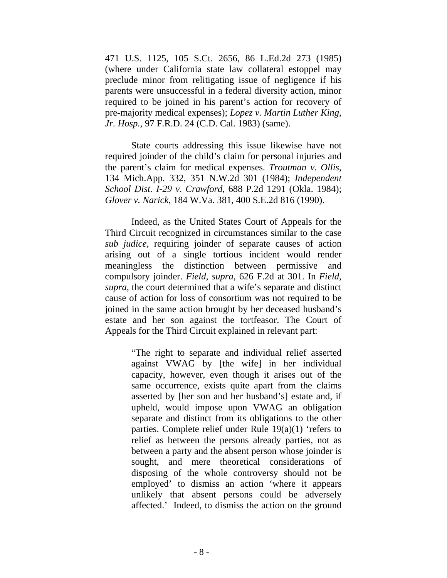471 U.S. 1125, 105 S.Ct. 2656, 86 L.Ed.2d 273 (1985) (where under California state law collateral estoppel may preclude minor from relitigating issue of negligence if his parents were unsuccessful in a federal diversity action, minor required to be joined in his parent's action for recovery of pre-majority medical expenses); *Lopez v. Martin Luther King, Jr. Hosp.*, 97 F.R.D. 24 (C.D. Cal. 1983) (same).

State courts addressing this issue likewise have not required joinder of the child's claim for personal injuries and the parent's claim for medical expenses. *Troutman v. Ollis*, 134 Mich.App. 332, 351 N.W.2d 301 (1984); *Independent School Dist. I-29 v. Crawford*, 688 P.2d 1291 (Okla. 1984); *Glover v. Narick*, 184 W.Va. 381, 400 S.E.2d 816 (1990).

Indeed, as the United States Court of Appeals for the Third Circuit recognized in circumstances similar to the case *sub judice*, requiring joinder of separate causes of action arising out of a single tortious incident would render meaningless the distinction between permissive and compulsory joinder. *Field*, *supra*, 626 F.2d at 301. In *Field*, *supra*, the court determined that a wife's separate and distinct cause of action for loss of consortium was not required to be joined in the same action brought by her deceased husband's estate and her son against the tortfeasor. The Court of Appeals for the Third Circuit explained in relevant part:

> "The right to separate and individual relief asserted against VWAG by [the wife] in her individual capacity, however, even though it arises out of the same occurrence, exists quite apart from the claims asserted by [her son and her husband's] estate and, if upheld, would impose upon VWAG an obligation separate and distinct from its obligations to the other parties. Complete relief under Rule  $19(a)(1)$  'refers to relief as between the persons already parties, not as between a party and the absent person whose joinder is sought, and mere theoretical considerations of disposing of the whole controversy should not be employed' to dismiss an action 'where it appears unlikely that absent persons could be adversely affected.' Indeed, to dismiss the action on the ground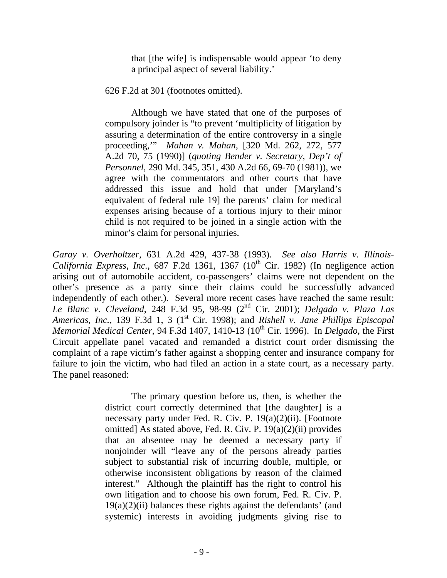that [the wife] is indispensable would appear 'to deny a principal aspect of several liability.'

626 F.2d at 301 (footnotes omitted).

Although we have stated that one of the purposes of compulsory joinder is "to prevent 'multiplicity of litigation by assuring a determination of the entire controversy in a single proceeding,'" *Mahan v. Mahan*, [320 Md. 262, 272, 577 A.2d 70, 75 (1990)] (*quoting Bender v. Secretary, Dep't of Personnel*, 290 Md. 345, 351, 430 A.2d 66, 69-70 (1981)), we agree with the commentators and other courts that have addressed this issue and hold that under [Maryland's equivalent of federal rule 19] the parents' claim for medical expenses arising because of a tortious injury to their minor child is not required to be joined in a single action with the minor's claim for personal injuries.

*Garay v. Overholtzer*, 631 A.2d 429, 437-38 (1993). *See also Harris v. Illinois-California Express, Inc.*, 687 F.2d 1361, 1367 (10<sup>th</sup> Cir. 1982) (In negligence action arising out of automobile accident, co-passengers' claims were not dependent on the other's presence as a party since their claims could be successfully advanced independently of each other.). Several more recent cases have reached the same result: *Le Blanc v. Cleveland*, 248 F.3d 95, 98-99 (2nd Cir. 2001); *Delgado v. Plaza Las Americas, Inc.,* 139 F.3d 1, 3 (1<sup>st</sup> Cir. 1998); and *Rishell v. Jane Phillips Episcopal Memorial Medical Center*, 94 F.3d 1407, 1410-13 (10<sup>th</sup> Cir. 1996). In *Delgado*, the First Circuit appellate panel vacated and remanded a district court order dismissing the complaint of a rape victim's father against a shopping center and insurance company for failure to join the victim, who had filed an action in a state court, as a necessary party. The panel reasoned:

> The primary question before us, then, is whether the district court correctly determined that [the daughter] is a necessary party under Fed. R. Civ. P. 19(a)(2)(ii). [Footnote omitted] As stated above, Fed. R. Civ. P. 19(a)(2)(ii) provides that an absentee may be deemed a necessary party if nonjoinder will "leave any of the persons already parties subject to substantial risk of incurring double, multiple, or otherwise inconsistent obligations by reason of the claimed interest." Although the plaintiff has the right to control his own litigation and to choose his own forum, Fed. R. Civ. P.  $19(a)(2)(ii)$  balances these rights against the defendants' (and systemic) interests in avoiding judgments giving rise to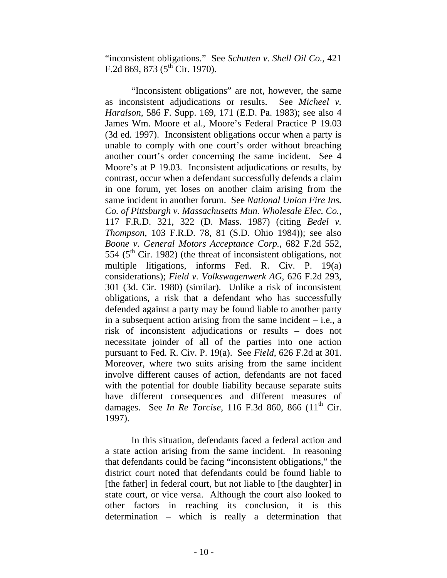"inconsistent obligations." See *Schutten v. Shell Oil Co.*, 421 F.2d 869, 873 ( $5^{th}$ Cir. 1970).

"Inconsistent obligations" are not, however, the same as inconsistent adjudications or results. See *Micheel v. Haralson*, 586 F. Supp. 169, 171 (E.D. Pa. 1983); see also 4 James Wm. Moore et al., Moore's Federal Practice P 19.03 (3d ed. 1997). Inconsistent obligations occur when a party is unable to comply with one court's order without breaching another court's order concerning the same incident. See 4 Moore's at P 19.03. Inconsistent adjudications or results, by contrast, occur when a defendant successfully defends a claim in one forum, yet loses on another claim arising from the same incident in another forum. See *National Union Fire Ins. Co. of Pittsburgh v. Massachusetts Mun. Wholesale Elec. Co.*, 117 F.R.D. 321, 322 (D. Mass. 1987) (citing *Bedel v. Thompson*, 103 F.R.D. 78, 81 (S.D. Ohio 1984)); see also *Boone v. General Motors Acceptance Corp.*, 682 F.2d 552, 554 ( $5<sup>th</sup>$  Cir. 1982) (the threat of inconsistent obligations, not multiple litigations, informs Fed. R. Civ. P. 19(a) considerations); *Field v. Volkswagenwerk AG*, 626 F.2d 293, 301 (3d. Cir. 1980) (similar). Unlike a risk of inconsistent obligations, a risk that a defendant who has successfully defended against a party may be found liable to another party in a subsequent action arising from the same incident – i.e., a risk of inconsistent adjudications or results – does not necessitate joinder of all of the parties into one action pursuant to Fed. R. Civ. P. 19(a). See *Field*, 626 F.2d at 301. Moreover, where two suits arising from the same incident involve different causes of action, defendants are not faced with the potential for double liability because separate suits have different consequences and different measures of damages. See *In Re Torcise*, 116 F.3d 860, 866 (11<sup>th</sup> Cir. 1997).

In this situation, defendants faced a federal action and a state action arising from the same incident. In reasoning that defendants could be facing "inconsistent obligations," the district court noted that defendants could be found liable to [the father] in federal court, but not liable to [the daughter] in state court, or vice versa. Although the court also looked to other factors in reaching its conclusion, it is this determination – which is really a determination that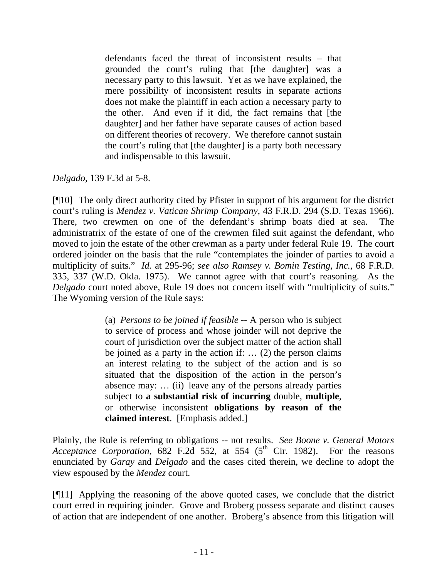defendants faced the threat of inconsistent results – that grounded the court's ruling that [the daughter] was a necessary party to this lawsuit. Yet as we have explained, the mere possibility of inconsistent results in separate actions does not make the plaintiff in each action a necessary party to the other. And even if it did, the fact remains that [the daughter] and her father have separate causes of action based on different theories of recovery. We therefore cannot sustain the court's ruling that [the daughter] is a party both necessary and indispensable to this lawsuit.

*Delgado,* 139 F.3d at 5-8.

[¶10] The only direct authority cited by Pfister in support of his argument for the district court's ruling is *Mendez v. Vatican Shrimp Company*, 43 F.R.D. 294 (S.D. Texas 1966). There, two crewmen on one of the defendant's shrimp boats died at sea. The administratrix of the estate of one of the crewmen filed suit against the defendant, who moved to join the estate of the other crewman as a party under federal Rule 19. The court ordered joinder on the basis that the rule "contemplates the joinder of parties to avoid a multiplicity of suits." *Id.* at 295-96; *see also Ramsey v. Bomin Testing, Inc.*, 68 F.R.D. 335, 337 (W.D. Okla. 1975). We cannot agree with that court's reasoning. As the *Delgado* court noted above, Rule 19 does not concern itself with "multiplicity of suits." The Wyoming version of the Rule says:

> (a) *Persons to be joined if feasible* -- A person who is subject to service of process and whose joinder will not deprive the court of jurisdiction over the subject matter of the action shall be joined as a party in the action if: … (2) the person claims an interest relating to the subject of the action and is so situated that the disposition of the action in the person's absence may: … (ii) leave any of the persons already parties subject to **a substantial risk of incurring** double, **multiple**, or otherwise inconsistent **obligations by reason of the claimed interest**. [Emphasis added.]

Plainly, the Rule is referring to obligations -- not results. *See Boone v. General Motors Acceptance Corporation*, 682 F.2d 552, at 554 ( $5<sup>th</sup>$  Cir. 1982). For the reasons enunciated by *Garay* and *Delgado* and the cases cited therein, we decline to adopt the view espoused by the *Mendez* court.

[¶11] Applying the reasoning of the above quoted cases, we conclude that the district court erred in requiring joinder. Grove and Broberg possess separate and distinct causes of action that are independent of one another. Broberg's absence from this litigation will